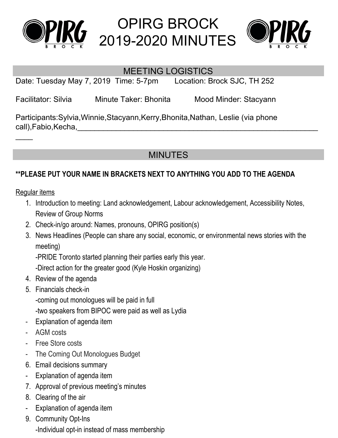

# OPIRG BROCK 2019-2020 MINUTES



#### MEETING LOGISTICS

Date: Tuesday May 7, 2019 Time: 5-7pm Location: Brock SJC, TH 252

Facilitator: Silvia Minute Taker: Bhonita Mood Minder: Stacyann

Participants:Sylvia,Winnie,Stacyann,Kerry,Bhonita,Nathan, Leslie (via phone call),Fabio,Kecha,

### MINUTES

#### **\*\*PLEASE PUT YOUR NAME IN BRACKETS NEXT TO ANYTHING YOU ADD TO THE AGENDA**

Regular items

 $\overline{\phantom{a}}$ 

- 1. Introduction to meeting: Land acknowledgement, Labour acknowledgement, Accessibility Notes, Review of Group Norms
- 2. Check-in/go around: Names, pronouns, OPIRG position(s)
- 3. News Headlines (People can share any social, economic, or environmental news stories with the meeting)

-PRIDE Toronto started planning their parties early this year.

-Direct action for the greater good (Kyle Hoskin organizing)

- 4. Review of the agenda
- 5. Financials check-in

-coming out monologues will be paid in full

-two speakers from BIPOC were paid as well as Lydia

- Explanation of agenda item
- AGM costs
- Free Store costs
- The Coming Out Monologues Budget
- 6. Email decisions summary
- Explanation of agenda item
- 7. Approval of previous meeting's minutes
- 8. Clearing of the air
- Explanation of agenda item
- 9. Community Opt-Ins -Individual opt-in instead of mass membership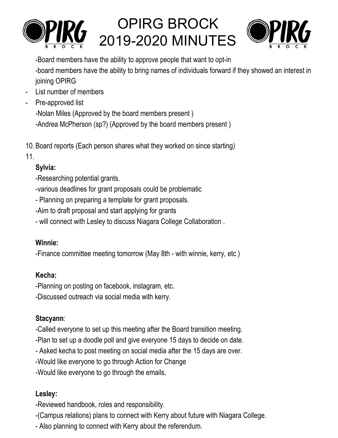

# OPIRG BROCK 2019-2020 MINUTES



-Board members have the ability to approve people that want to opt-in -board members have the ability to bring names of individuals forward if they showed an interest in joining OPIRG

- List number of members
- Pre-approved list

-Nolan Miles (Approved by the board members present )

-Andrea McPherson (sp?) (Approved by the board members present )

10. Board reports (Each person shares what they worked on since starting)

11.

#### **Sylvia:**

-Researching potential grants.

-various deadlines for grant proposals could be problematic

- Planning on preparing a template for grant proposals.

-Aim to draft proposal and start applying for grants

- will connect with Lesley to discuss Niagara College Collaboration .

#### **Winnie:**

-Finance committee meeting tomorrow (May 8th - with winnie, kerry, etc )

#### **Kecha:**

-Planning on posting on facebook, instagram, etc.

-Discussed outreach via social media with kerry.

## **Stacyann**:

-Called everyone to set up this meeting after the Board transition meeting.

-Plan to set up a doodle poll and give everyone 15 days to decide on date.

- Asked kecha to post meeting on social media after the 15 days are over.

-Would like everyone to go through Action for Change

-Would like everyone to go through the emails,

## **Lesley:**

-Reviewed handbook, roles and responsibility.

-(Campus relations) plans to connect with Kerry about future with Niagara College.

- Also planning to connect with Kerry about the referendum.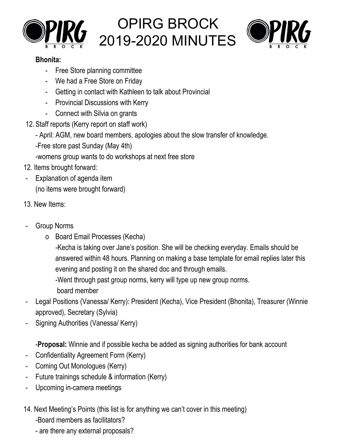





#### **Bhonita:**

- Free Store planning committee
- We had a Free Store on Friday
- Getting in contact with Kathleen to talk about Provincial
- Provincial Discussions with Kerry
- Connect with Silvia on grants
- 12. Staff reports (Kerry report on staff work)
	- April: AGM, new board members, apologies about the slow transfer of knowledge.
	- -Free store past Sunday (May 4th)
	- -womens group wants to do workshops at next free store
- 12. Items brought forward:
- Explanation of agenda item (no items were brought forward)
- 13. New Items:
- Group Norms
	- o Board Email Processes (Kecha)
		- -Kecha is taking over Jane's position. She will be checking everyday. Emails should be answered within 48 hours. Planning on making a base template for email replies later this evening and posting it on the shared doc and through emails.
		- -Went through past group norms, kerry will type up new group norms.
			- board member
- Legal Positions (Vanessa/ Kerry): President (Kecha), Vice President (Bhonita), Treasurer (Winnie approved), Secretary (Sylvia)
- Signing Authorities (Vanessa/ Kerry)

-**Proposal:** Winnie and if possible kecha be added as signing authorities for bank account

- Confidentiality Agreement Form (Kerry)
- Coming Out Monologues (Kerry)
- Future trainings schedule & information (Kerry)
- Upcoming in-camera meetings
- 14. Next Meeting's Points (this list is for anything we can't cover in this meeting)
	- -Board members as facilitators?
	- are there any external proposals?